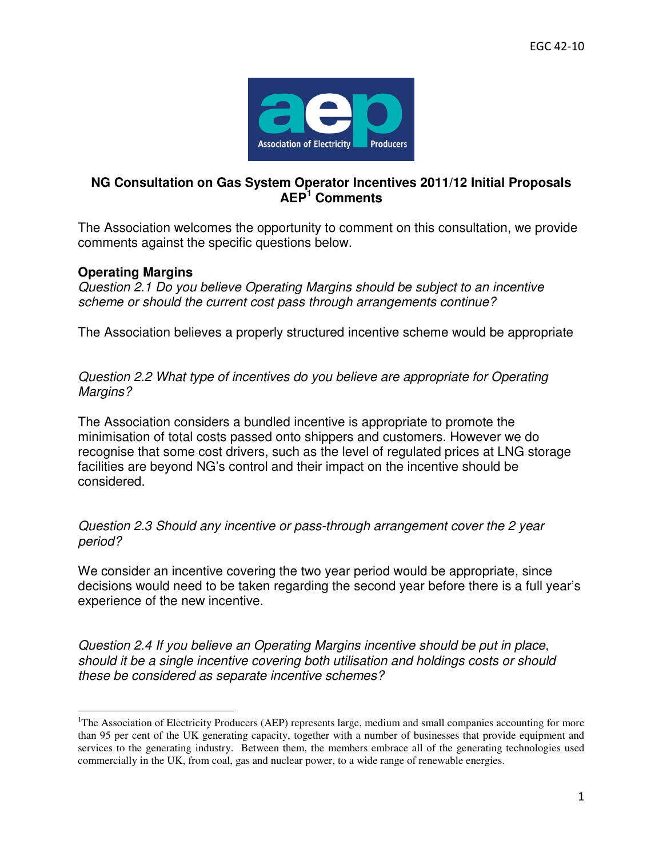

## **NG Consultation on Gas System Operator Incentives 2011/12 Initial Proposals AEP<sup>1</sup> Comments**

The Association welcomes the opportunity to comment on this consultation, we provide comments against the specific questions below.

## **Operating Margins**

 $\overline{a}$ 

Question 2.1 Do you believe Operating Margins should be subject to an incentive scheme or should the current cost pass through arrangements continue?

The Association believes a properly structured incentive scheme would be appropriate

Question 2.2 What type of incentives do you believe are appropriate for Operating Margins?

The Association considers a bundled incentive is appropriate to promote the minimisation of total costs passed onto shippers and customers. However we do recognise that some cost drivers, such as the level of regulated prices at LNG storage facilities are beyond NG's control and their impact on the incentive should be considered.

Question 2.3 Should any incentive or pass-through arrangement cover the 2 year period?

We consider an incentive covering the two year period would be appropriate, since decisions would need to be taken regarding the second year before there is a full year's experience of the new incentive.

Question 2.4 If you believe an Operating Margins incentive should be put in place, should it be a single incentive covering both utilisation and holdings costs or should these be considered as separate incentive schemes?

<sup>&</sup>lt;sup>1</sup>The Association of Electricity Producers (AEP) represents large, medium and small companies accounting for more than 95 per cent of the UK generating capacity, together with a number of businesses that provide equipment and services to the generating industry. Between them, the members embrace all of the generating technologies used commercially in the UK, from coal, gas and nuclear power, to a wide range of renewable energies.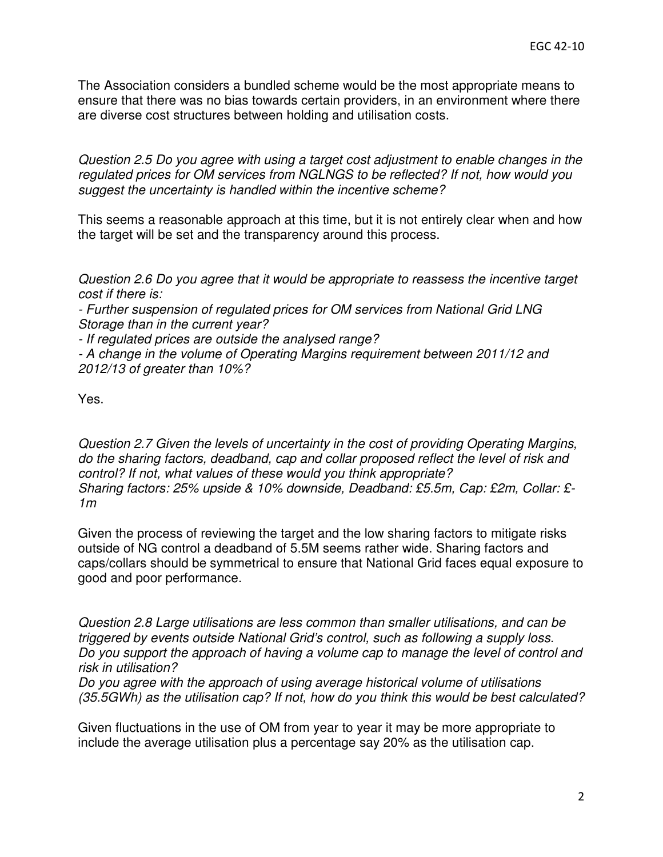The Association considers a bundled scheme would be the most appropriate means to ensure that there was no bias towards certain providers, in an environment where there are diverse cost structures between holding and utilisation costs.

Question 2.5 Do you agree with using a target cost adjustment to enable changes in the regulated prices for OM services from NGLNGS to be reflected? If not, how would you suggest the uncertainty is handled within the incentive scheme?

This seems a reasonable approach at this time, but it is not entirely clear when and how the target will be set and the transparency around this process.

Question 2.6 Do you agree that it would be appropriate to reassess the incentive target cost if there is:

- Further suspension of regulated prices for OM services from National Grid LNG Storage than in the current year?

- If regulated prices are outside the analysed range?

- A change in the volume of Operating Margins requirement between 2011/12 and 2012/13 of greater than 10%?

Yes.

Question 2.7 Given the levels of uncertainty in the cost of providing Operating Margins, do the sharing factors, deadband, cap and collar proposed reflect the level of risk and control? If not, what values of these would you think appropriate? Sharing factors: 25% upside & 10% downside, Deadband: £5.5m, Cap: £2m, Collar: £- 1m

Given the process of reviewing the target and the low sharing factors to mitigate risks outside of NG control a deadband of 5.5M seems rather wide. Sharing factors and caps/collars should be symmetrical to ensure that National Grid faces equal exposure to good and poor performance.

Question 2.8 Large utilisations are less common than smaller utilisations, and can be triggered by events outside National Grid's control, such as following a supply loss. Do you support the approach of having a volume cap to manage the level of control and risk in utilisation?

Do you agree with the approach of using average historical volume of utilisations (35.5GWh) as the utilisation cap? If not, how do you think this would be best calculated?

Given fluctuations in the use of OM from year to year it may be more appropriate to include the average utilisation plus a percentage say 20% as the utilisation cap.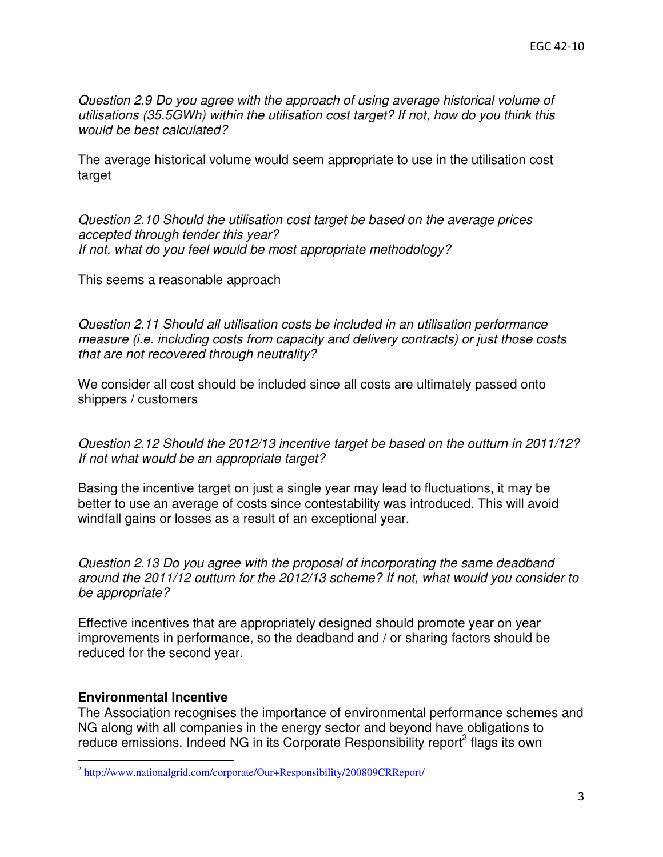Question 2.9 Do you agree with the approach of using average historical volume of utilisations (35.5GWh) within the utilisation cost target? If not, how do you think this would be best calculated?

The average historical volume would seem appropriate to use in the utilisation cost target

Question 2.10 Should the utilisation cost target be based on the average prices accepted through tender this year? If not, what do you feel would be most appropriate methodology?

This seems a reasonable approach

Question 2.11 Should all utilisation costs be included in an utilisation performance measure (i.e. including costs from capacity and delivery contracts) or just those costs that are not recovered through neutrality?

We consider all cost should be included since all costs are ultimately passed onto shippers / customers

Question 2.12 Should the 2012/13 incentive target be based on the outturn in 2011/12? If not what would be an appropriate target?

Basing the incentive target on just a single year may lead to fluctuations, it may be better to use an average of costs since contestability was introduced. This will avoid windfall gains or losses as a result of an exceptional year.

Question 2.13 Do you agree with the proposal of incorporating the same deadband around the 2011/12 outturn for the 2012/13 scheme? If not, what would you consider to be appropriate?

Effective incentives that are appropriately designed should promote year on year improvements in performance, so the deadband and / or sharing factors should be reduced for the second year.

## **Environmental Incentive**

l

The Association recognises the importance of environmental performance schemes and NG along with all companies in the energy sector and beyond have obligations to reduce emissions. Indeed NG in its Corporate Responsibility report<sup>2</sup> flags its own

<sup>&</sup>lt;sup>2</sup> http://www.nationalgrid.com/corporate/Our+Responsibility/200809CRReport/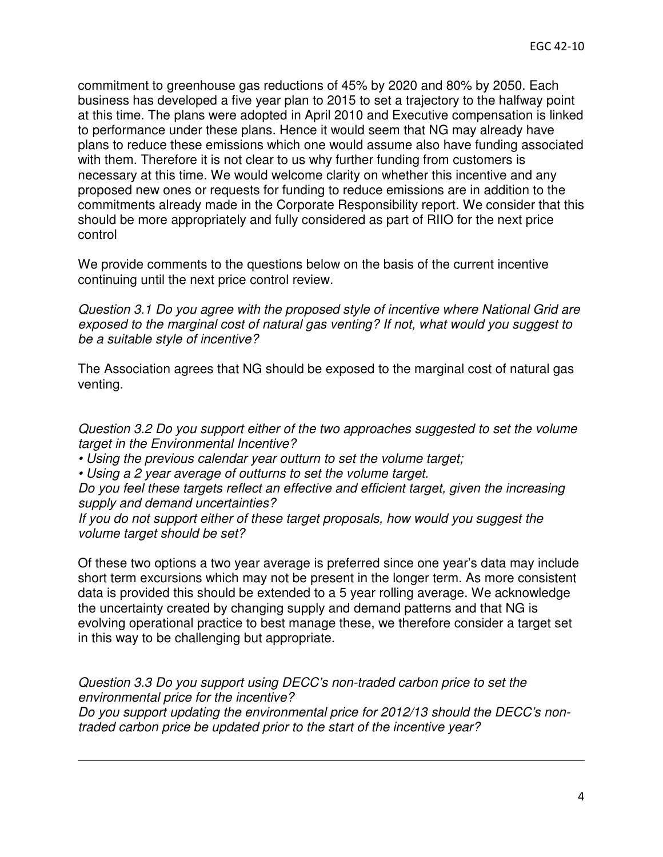commitment to greenhouse gas reductions of 45% by 2020 and 80% by 2050. Each business has developed a five year plan to 2015 to set a trajectory to the halfway point at this time. The plans were adopted in April 2010 and Executive compensation is linked to performance under these plans. Hence it would seem that NG may already have plans to reduce these emissions which one would assume also have funding associated with them. Therefore it is not clear to us why further funding from customers is necessary at this time. We would welcome clarity on whether this incentive and any proposed new ones or requests for funding to reduce emissions are in addition to the commitments already made in the Corporate Responsibility report. We consider that this should be more appropriately and fully considered as part of RIIO for the next price control

We provide comments to the questions below on the basis of the current incentive continuing until the next price control review.

Question 3.1 Do you agree with the proposed style of incentive where National Grid are exposed to the marginal cost of natural gas venting? If not, what would you suggest to be a suitable style of incentive?

The Association agrees that NG should be exposed to the marginal cost of natural gas venting.

Question 3.2 Do you support either of the two approaches suggested to set the volume target in the Environmental Incentive?

• Using the previous calendar year outturn to set the volume target;

• Using a 2 year average of outturns to set the volume target.

l

Do you feel these targets reflect an effective and efficient target, given the increasing supply and demand uncertainties?

If you do not support either of these target proposals, how would you suggest the volume target should be set?

Of these two options a two year average is preferred since one year's data may include short term excursions which may not be present in the longer term. As more consistent data is provided this should be extended to a 5 year rolling average. We acknowledge the uncertainty created by changing supply and demand patterns and that NG is evolving operational practice to best manage these, we therefore consider a target set in this way to be challenging but appropriate.

Question 3.3 Do you support using DECC's non-traded carbon price to set the environmental price for the incentive? Do you support updating the environmental price for 2012/13 should the DECC's nontraded carbon price be updated prior to the start of the incentive year?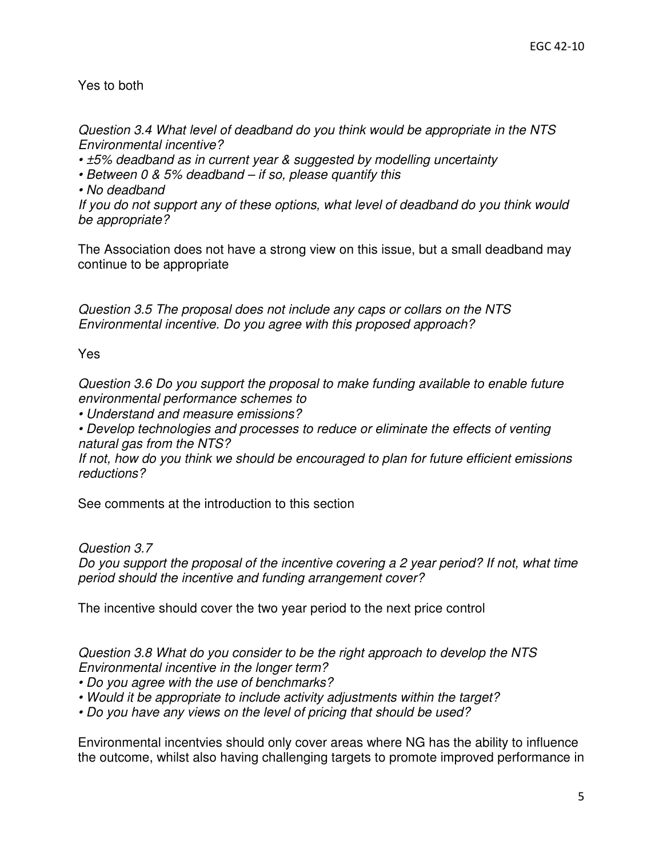## Yes to both

Question 3.4 What level of deadband do you think would be appropriate in the NTS Environmental incentive?

• ±5% deadband as in current year & suggested by modelling uncertainty

- Between 0 & 5% deadband if so, please quantify this
- No deadband

If you do not support any of these options, what level of deadband do you think would be appropriate?

The Association does not have a strong view on this issue, but a small deadband may continue to be appropriate

Question 3.5 The proposal does not include any caps or collars on the NTS Environmental incentive. Do you agree with this proposed approach?

Yes

Question 3.6 Do you support the proposal to make funding available to enable future environmental performance schemes to

• Understand and measure emissions?

• Develop technologies and processes to reduce or eliminate the effects of venting natural gas from the NTS?

If not, how do you think we should be encouraged to plan for future efficient emissions reductions?

See comments at the introduction to this section

Question 3.7

Do you support the proposal of the incentive covering a 2 year period? If not, what time period should the incentive and funding arrangement cover?

The incentive should cover the two year period to the next price control

Question 3.8 What do you consider to be the right approach to develop the NTS Environmental incentive in the longer term?

- Do you agree with the use of benchmarks?
- Would it be appropriate to include activity adjustments within the target?
- Do you have any views on the level of pricing that should be used?

Environmental incentvies should only cover areas where NG has the ability to influence the outcome, whilst also having challenging targets to promote improved performance in